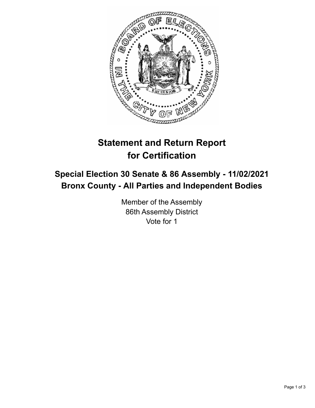

## **Statement and Return Report for Certification**

## **Special Election 30 Senate & 86 Assembly - 11/02/2021 Bronx County - All Parties and Independent Bodies**

Member of the Assembly 86th Assembly District Vote for 1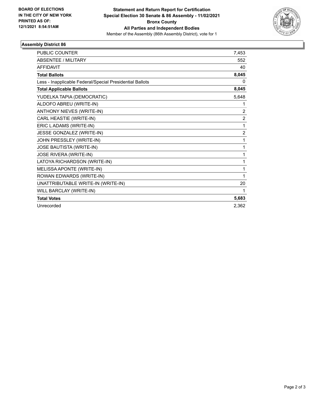

## **Assembly District 86**

| <b>PUBLIC COUNTER</b>                                    | 7,453          |
|----------------------------------------------------------|----------------|
| <b>ABSENTEE / MILITARY</b>                               | 552            |
| <b>AFFIDAVIT</b>                                         | 40             |
| <b>Total Ballots</b>                                     | 8,045          |
| Less - Inapplicable Federal/Special Presidential Ballots | 0              |
| <b>Total Applicable Ballots</b>                          | 8,045          |
| YUDELKA TAPIA (DEMOCRATIC)                               | 5,648          |
| ALDOFO ABREU (WRITE-IN)                                  | 1              |
| <b>ANTHONY NIEVES (WRITE-IN)</b>                         | 2              |
| CARL HEASTIE (WRITE-IN)                                  | $\overline{2}$ |
| ERIC LADAMS (WRITE-IN)                                   | 1              |
| JESSE GONZALEZ (WRITE-IN)                                | 2              |
| JOHN PRESSLEY (WRITE-IN)                                 | 1              |
| JOSE BAUTISTA (WRITE-IN)                                 | 1              |
| JOSE RIVERA (WRITE-IN)                                   | 1              |
| LATOYA RICHARDSON (WRITE-IN)                             | 1              |
| MELISSA APONTE (WRITE-IN)                                | 1              |
| ROWAN EDWARDS (WRITE-IN)                                 | 1              |
| UNATTRIBUTABLE WRITE-IN (WRITE-IN)                       | 20             |
| WILL BARCLAY (WRITE-IN)                                  | 1              |
| <b>Total Votes</b>                                       | 5,683          |
| Unrecorded                                               | 2.362          |